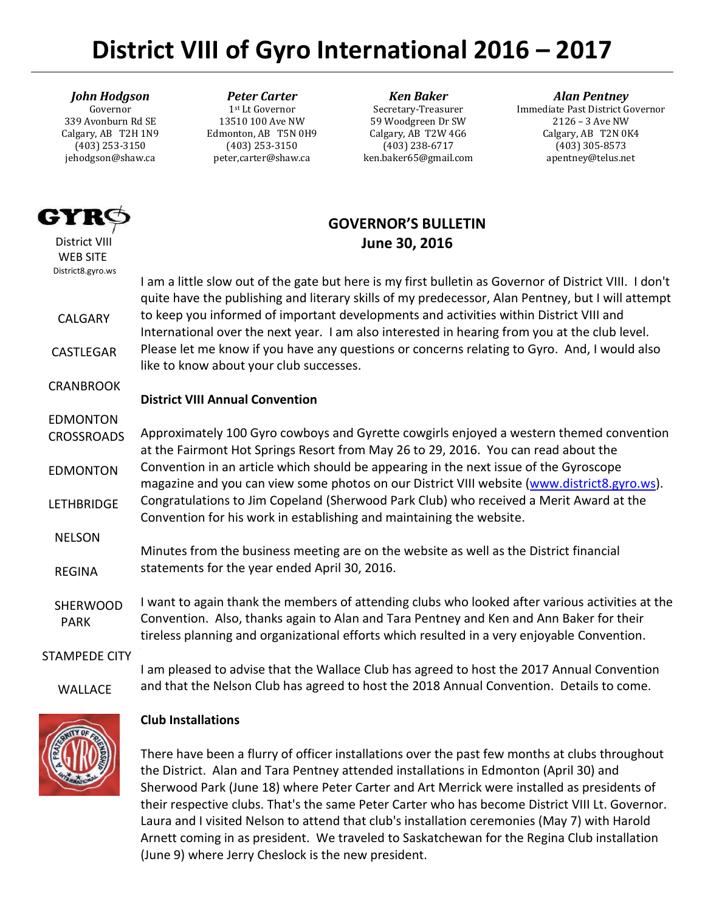# **District VIII of Gyro International 2016 – 2017**

#### *John Hodgson*

Governor 339 Avonburn Rd SE Calgary, AB T2H 1N9 (403) 253-3150 jehodgson@shaw.ca

#### *Peter Carter* 1st Lt Governor

13510 100 Ave NW Edmonton, AB T5N 0H9 (403) 253-3150 peter,carter@shaw.ca

*Ken Baker* Secretary-Treasurer 59 Woodgreen Dr SW Calgary, AB T2W 4G6 (403) 238-6717 ken.baker65@gmail.com

#### *Alan Pentney*

Immediate Past District Governor 2126 – 3 Ave NW Calgary, AB T2N 0K4 (403) 305-8573 apentney@telus.net

## **GOVERNOR'S BULLETIN June 30, 2016**

 District VIII WEB SITE District8.gyro.ws

611

CALGARY

CASTLEGAR

CRANBROOK

## I am a little slow out of the gate but here is my first bulletin as Governor of District VIII. I don't quite have the publishing and literary skills of my predecessor, Alan Pentney, but I will attempt to keep you informed of important developments and activities within District VIII and International over the next year. I am also interested in hearing from you at the club level. Please let me know if you have any questions or concerns relating to Gyro. And, I would also like to know about your club successes.

## **District VIII Annual Convention**

 EDMONTON CROSSROADS EDMONTON LETHBRIDGE Approximately 100 Gyro cowboys and Gyrette cowgirls enjoyed a western themed convention at the Fairmont Hot Springs Resort from May 26 to 29, 2016. You can read about the Convention in an article which should be appearing in the next issue of the Gyroscope magazine and you can view some photos on our District VIII website [\(www.district8.gyro.ws\)](http://www.district8.gyro.ws/). Congratulations to Jim Copeland (Sherwood Park Club) who received a Merit Award at the Convention for his work in establishing and maintaining the website.

 NELSON REGINA Minutes from the business meeting are on the website as well as the District financial statements for the year ended April 30, 2016.

 SHERWOOD PARK I want to again thank the members of attending clubs who looked after various activities at the Convention. Also, thanks again to Alan and Tara Pentney and Ken and Ann Baker for their tireless planning and organizational efforts which resulted in a very enjoyable Convention.

STAMPEDE CITY

WALLACE

I am pleased to advise that the Wallace Club has agreed to host the 2017 Annual Convention and that the Nelson Club has agreed to host the 2018 Annual Convention. Details to come.



#### **Club Installations**

Laura and I visited Nelson to attend that club's installation ceremonies (May 7) with Harold There have been a flurry of officer installations over the past few months at clubs throughout the District. Alan and Tara Pentney attended installations in Edmonton (April 30) and Sherwood Park (June 18) where Peter Carter and Art Merrick were installed as presidents of their respective clubs. That's the same Peter Carter who has become District VIII Lt. Governor. Arnett coming in as president. We traveled to Saskatchewan for the Regina Club installation (June 9) where Jerry Cheslock is the new president.